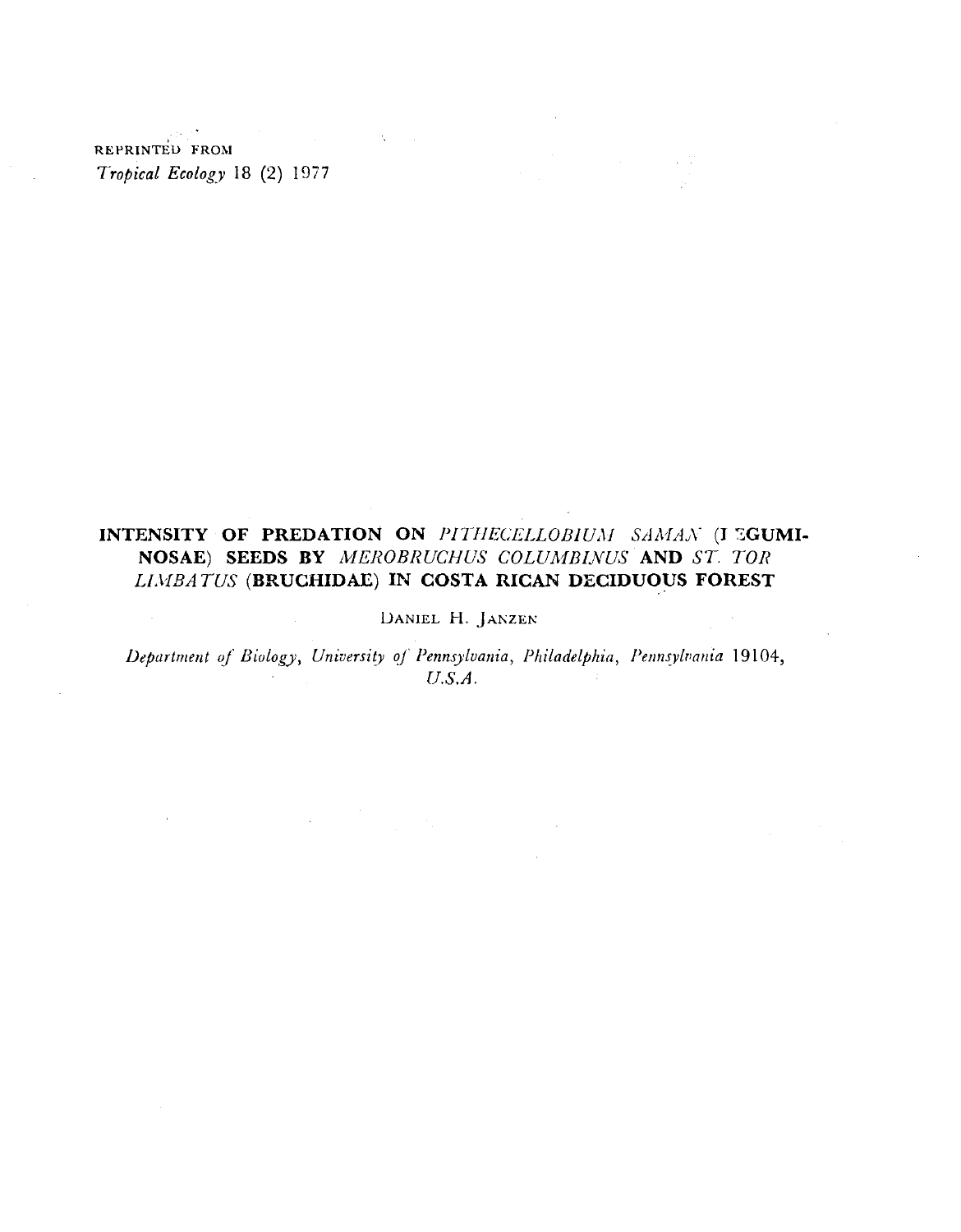REPRINTED FROM Tropical Ecology 18 (2) 1977

# INTENSITY OF PREDATION ON PITHECELLOBIUM SAMAN (I 'SGUMI-NOSAE) SEEDS BY MEROBRUCHUS COLUMBINUS AND ST. TOR LIMBATUS (BRUCHIDAE) IN COSTA RICAN DECIDUOUS FOREST

DANIEL H. JANZEN

Department of Biology, University of Pennsylvania, Philadelphia, Pennsylvania 19104,  $U.S.A.$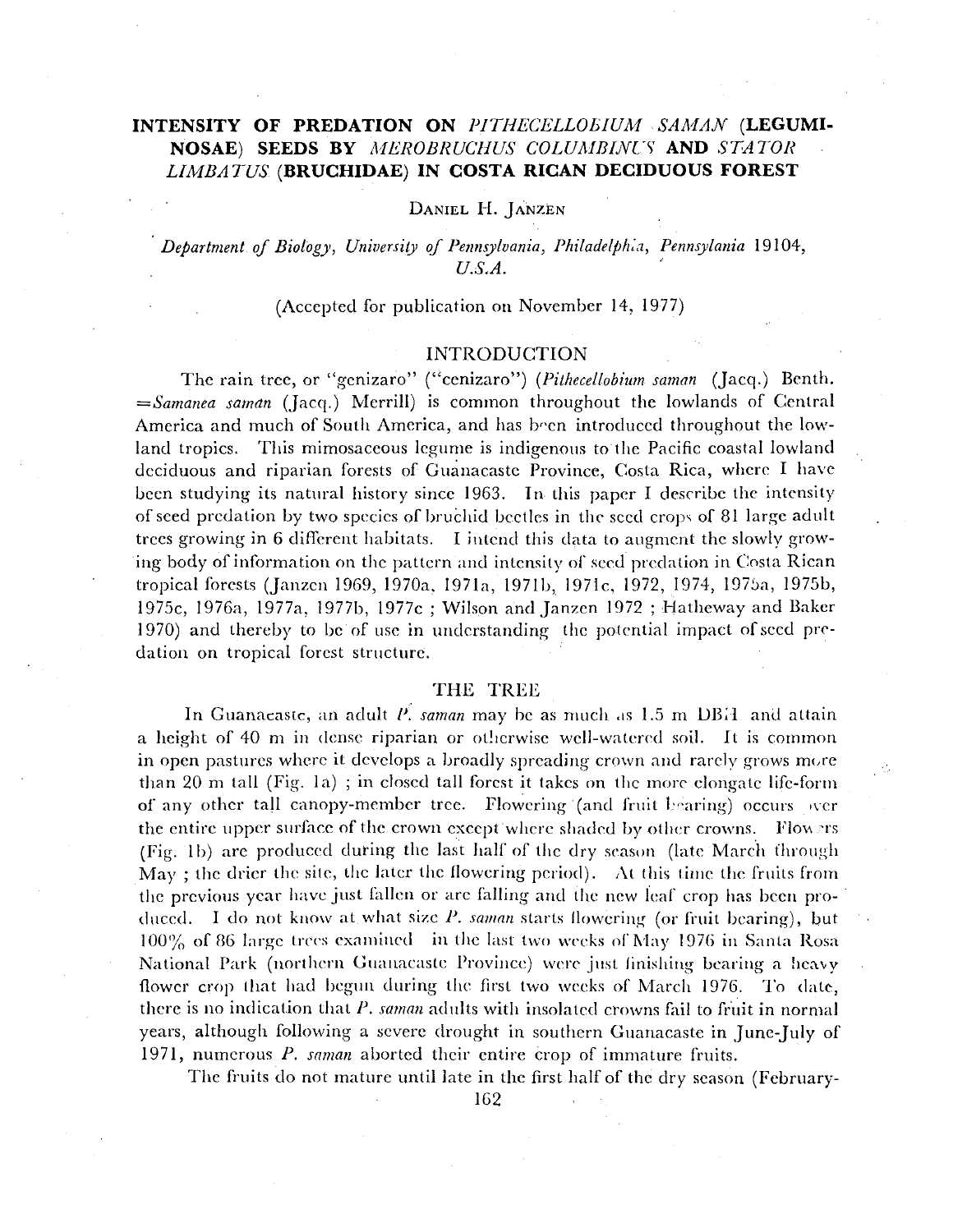# **INTENSITY OF PREDATION ON** *PITHECELLOEIUM SAMAN* **(LEGUMI-**NOSAE) **SEEDS BY** *MEROBRUCHUS COLUMBINe)'* **AND** *STATOR LlMBATUS* **(BRUCHIDAE) IN COSTA RICAN DECIDUOUS FOREST**

## DANIEL H. JANZEN

## *Department of Biology, University of Pennsylvania, Philadelph;,1, Pennsylania* 19104, *U.S.A.*

## (Accepted for publication on November 14, 1977)

#### INTRODUCTION

The rain tree, or "genizaro" ("cenizaro") *(Pithecellobium saman* (Jacq.) Benth.  $=Samanea \; saman$  (Jacq.) Merrill) is common throughout the lowlands of Central America and much of South America, and has been introduced throughout the lowland tropics. This mimosaceous legume is indigenous to the Pacific coastal lowland deciduous and riparian forests of Guanacaste Province, Costa Rica, where I have been studying its natural history since 1963. In this paper I describe the intensity of seed predation by two species of bruchid beetles in the seed crops of 81 large adult trees growing in 6 different habitats. I intend this data to augment the slowly growing body of information on the pattern and intensity of seed predation in Costa Rican tropical forests (Janzen 1969, 1970a, 1971a, 1971b, 1971c, 1972, 1974, 1975a, 1975b, 1975c, 1976a, 1977a, 1977b, 1977c ; Wilson and Janzen 1972 ; Hatheway and Baker 1970) and thereby to be of usc in understanding the potential impact of seed predation on tropical forest structure.

#### THE TREE

In Guanacaste, an adult P. saman may be as much as 1.5 m DB:1 and attain a height of 40 m in dense riparian or otherwise well-watered soil. It is common in open pastures where it develops a broadly spreading crown and rarely grows more than 20 m tall (Fig. 1a); in closed tall forest it takes on the more elongate life-form of any other tall canopy-member tree. Flowering (and fruit bearing) occurs ver the entire upper surface of the crown except where shaded by other crowns. Flow  $\text{ers}$ (Fig. 1b) are produced during the last half of the dry season (late March through May; the dricr the site, the later the flowering period). At this time the fruits from the previous year have just fallen or arc falling and the new leaf crop has been produced. I do not know at what size *P. saman* starts flowering (or fruit bearing), but  $100\%$  of 86 large trees examined in the last two weeks of May 1976 in Santa Rosa National Park (northern Guanacaste Province) were just finishing bearing a heavy flower crop that had begun during the first two weeks of March 1976. To date, there is no indication that *P. saman* adults with insolated crowns fail to fr'uit in normal years, although following a severe drought in southern Guanacaste in June-July of 1971, numerous *P. saman* aborted their entire crop of immature fruits.

The fruits do not mature until late in the first half of the dry season (February-

162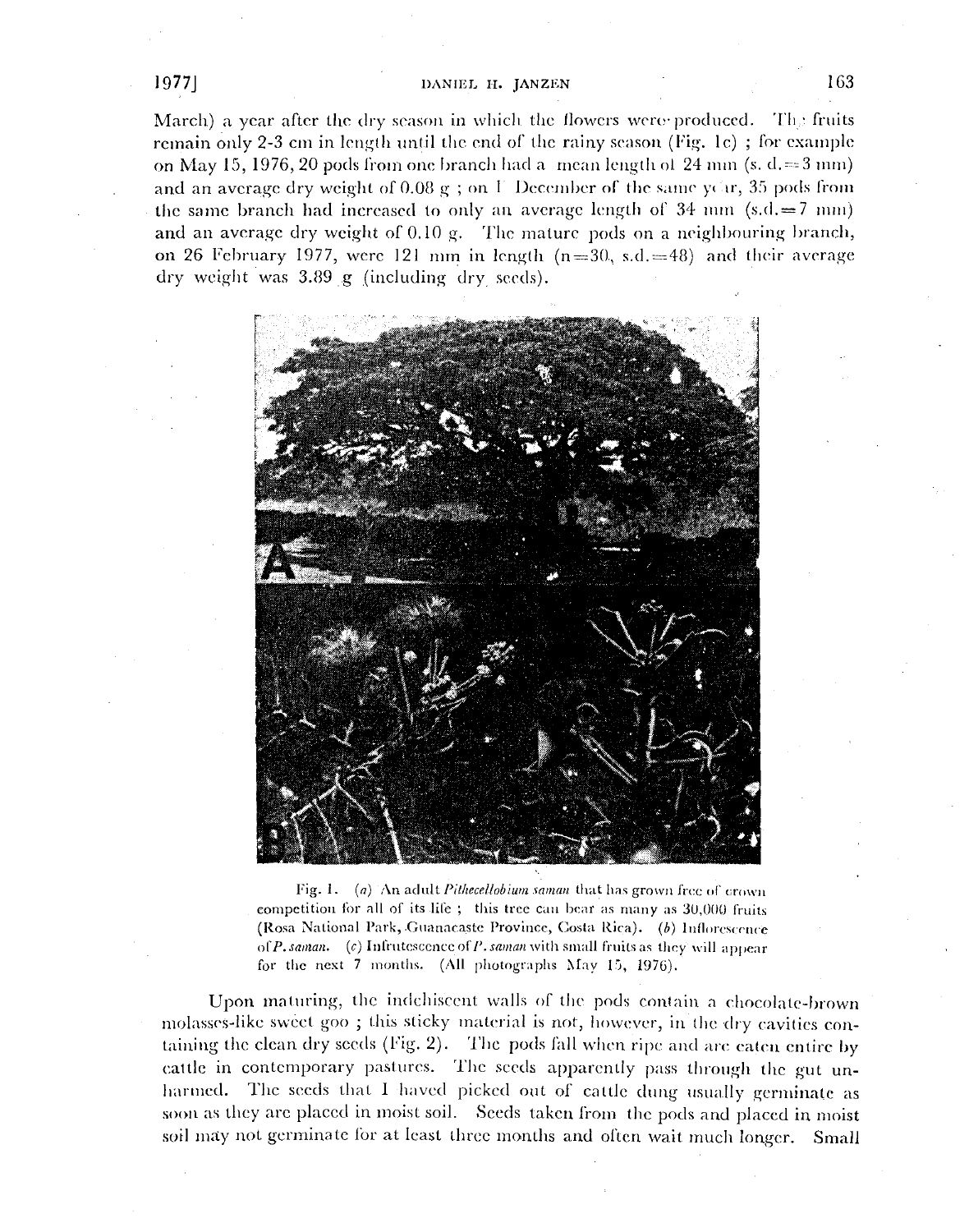## 19771

March) a year after the dry season in which the flowers were produced. The fruits remain only 2-3 cm in length until the end of the rainy season (Fig. 1c); for example on May 15, 1976, 20 pods from one branch had a mean length of 24 mm  $(s, d, = 3 \text{ mm})$ and an average dry weight of 0.08 g ; on T December of the same year, 35 pods from the same branch had increased to only an average length of 34 mm  $(s.d. = 7 \text{ mm})$ and an average dry weight of 0.10 g. The mature pods on a neighbouring branch, on 26 February 1977, were 121 mm in length  $(n=30, s.d.=48)$  and their average dry weight was 3.89 g (including dry seeds).



Fig. 1. (a) An adult Pithecellobium saman that has grown free of erown competition for all of its life; this tree can bear as many as 30,000 fruits (Rosa National Park, Guanacaste Province, Costa Rica). (b) Inflorescence of P. saman. (c) Infrutescence of P. saman with small fruits as they will appear for the next 7 months. (All photographs May 15, 1976).

Upon maturing, the indehiseent walls of the pods contain a chocolate-brown molasses-like sweet goo; this sticky material is not, however, in the dry cavities containing the clean dry seeds (Fig. 2). The pods fall when ripe and are eaten entire by cattle in contemporary pastures. The seeds apparently pass through the gut unharmed. The seeds that I haved picked out of cattle dung usually germinate as soon as they are placed in moist soil. Seeds taken from the pods and placed in moist soil may not germinate for at least three months and often wait much longer. Small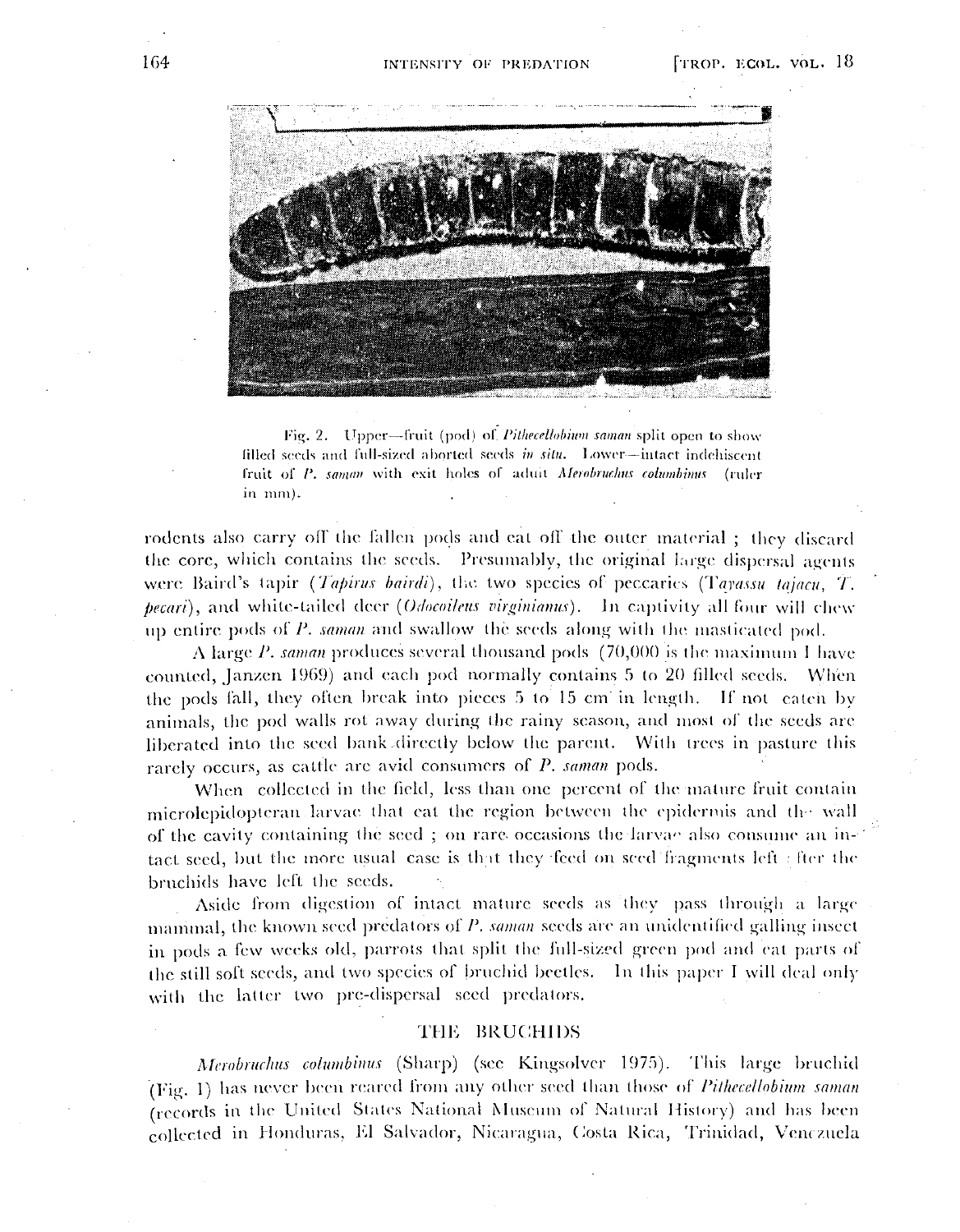

Fig. 2. Upper-fruit (pod) of Pithecellobium saman split open to show filled seeds and full-sized aborted seeds in situ. Lower-intact indehiscent fruit of P. saman with exit holes of adult Merobruchus columbinus (ruler in mm).

rodents also carry off the fallen pods and eat off the outer material ; they discard the core, which contains the seeds. Presumably, the original large dispersal agents were Baird's tapir (Tapirus bairdi), the two species of peccaries (Tayassu tajacu, T. *becari*), and white-tailed deer *(Odocoileus virginianus)*. In captivity all four will chew up entire pods of P, saman and swallow the seeds along with the masticated pod.

A large P, saman produces several thousand pods  $(70,000)$  is the maximum I have counted, Janzen 1969) and each pod normally contains 5 to 20 filled seeds. When the pods fall, they often break into pieces 5 to 15 cm in length. If not eaten by animals, the pod walls rot away during the rainy season, and most of the seeds are liberated into the seed bank directly below the parent. With trees in pasture this rarely occurs, as cattle are avid consumers of P. saman pods.

When collected in the field, less than one percent of the mature fruit contain microlepidopteran larvae that eat the region between the epidermis and the wall of the cavity containing the seed; on rare occasions the larvae also consume an intact seed, but the more usual case is that they feed on seed fragments left : fter the bruchids have left the seeds.

Aside from digestion of intact mature seeds as they pass through a large manimal, the known seed predators of P. saman seeds are an unidentified galling insect in pods a few weeks old, parrots that split the full-sized green pod and eat parts of the still soft seeds, and two species of bruchid beetles. In this paper I will deal only with the latter two pre-dispersal seed predators.

#### THE BRUCHIDS

Merobruchus columbinus (Sharp) (see Kingsolver 1975). This large bruchid (Fig. 1) has never been reared from any other seed than those of Pithecellobium saman (records in the United States National Museum of Natural History) and has been collected in Honduras, El Salvador, Nicaragua, Costa Rica, Trinidad, Venczuela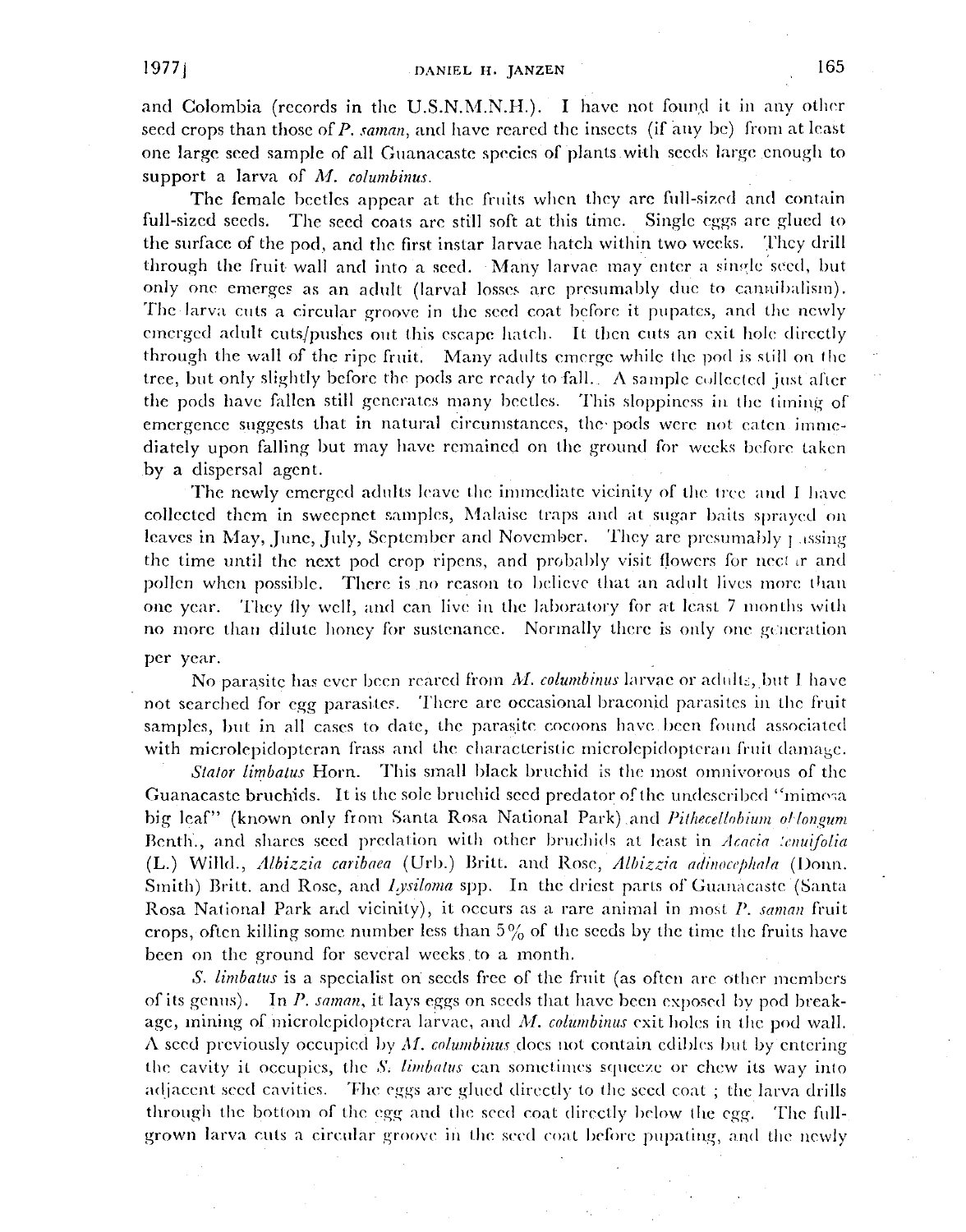and Colombia (records in the U.S.N.M.N.H.). I have not found it in any other seed crops than those of *P. saman*, and have reared the insects (if any be) from at least one large seed sample of all Guanacaste species of plants with seeds large enough to support a larva of *M. columbinus*.

The female beetles appear at the fruits when they are full-sized and contain full-sized seeds. The seed coats are still soft at this time. Single eggs arc glued to the surface of the pod, and the first instar larvae hatch within two weeks. They drill through the fruit wall and into a seed. 'Many larvae may enter a single seed, but only one emerges as an adult (larval losses are presumably due to cannibalism). The larva cuts a circular groove in the seed coat before it pupates, and the newly emerged adult cuts/pushes out this escape hatch. It then cuts an exit hole directly through the wall of the ripe fruit. Many adults emrrge while the pod is still on fhe tree, but only slightly before the pods are ready to fall.  $\Lambda$  sample collected just after the pods have fallen still generates many beetles. This sloppiness in the timing of emergence suggests that in natural circumstances, the pods were not eaten immediately upon falling but may have remained on the ground for weeks before taken by a dispersal agent.

The newly emerged adults leave the immediate vicinity of the tree and I have collected them in sweepnet samples, Malaise traps and at sugar baits sprayed on leaves in May, June, July, September and November. They are presumably  $\mu$  issing the time until the next pod crop ripens, and probably visit flowers for nect  $\pi$  and pollen when possible. There is no reason to believe that an adult lives more than one year. They fly well, and can live in the laboratory for at least 7 months with no more than dilute honey for sustenance. Normally there is only one generation per year.

No parasite has ever been reared from *M. columbinus* larvae or adults, but I have not searched for egg parasites. There arc occasional braeonid parasites in the fruit samples, but in all cases to date, the parasite cocoons have been found associated with microlepidopteran frass and the characteristic microlepidopteral fruit damage.

*Stalor limbatus* Horn. This small blaek brnehid ;s the most omnivorous of the Guanacaste bruchids. It is the sole bruehid seed predator of the undescribed "mimosa big leaf" (known only from Santa Rosa National Park) and *Pithecellohium of longum* Benth., and shares seed predation with other bruchids at least in *Acacia :cnuifolia* (L.) Willd., *Albizzia caribaea* (Urb.) Britt. and Rose, *Albizzia adinocephala* (Donn. Smith) Britt, and Rose, and *Lysiloma* spp. In the driest parts of Guanacaste (Santa Rosa National Park and vicinity), it occurs as a rare animal in most P. saman fruit crops, often killing some number less than  $5\%$  of the seeds by the time the fruits have been on the ground for several weeks to a month.

S. *limbatus* is a specialist on seeds free of the fruit (as often are other members of its genus). In P. *saman*, it lays eggs on seeds that have been exposed by pod breakage, mining of microlepidoptera larvae, and M. *columbinus* exit holes in the pod wall. A seed previously occupied by M. *columbinus* does not contain edibles but by entering the cavity it occupies, the *S. limbatus* can sometimes squeeze or chew its way into adjacent seed cavities. The eggs are glued directly to the seed coat; the larva drills through the bottom of the egg and the seed coat directly helow the egg. The fullgrown larva cuts a circular groove in the seed coat before pupating, and the newly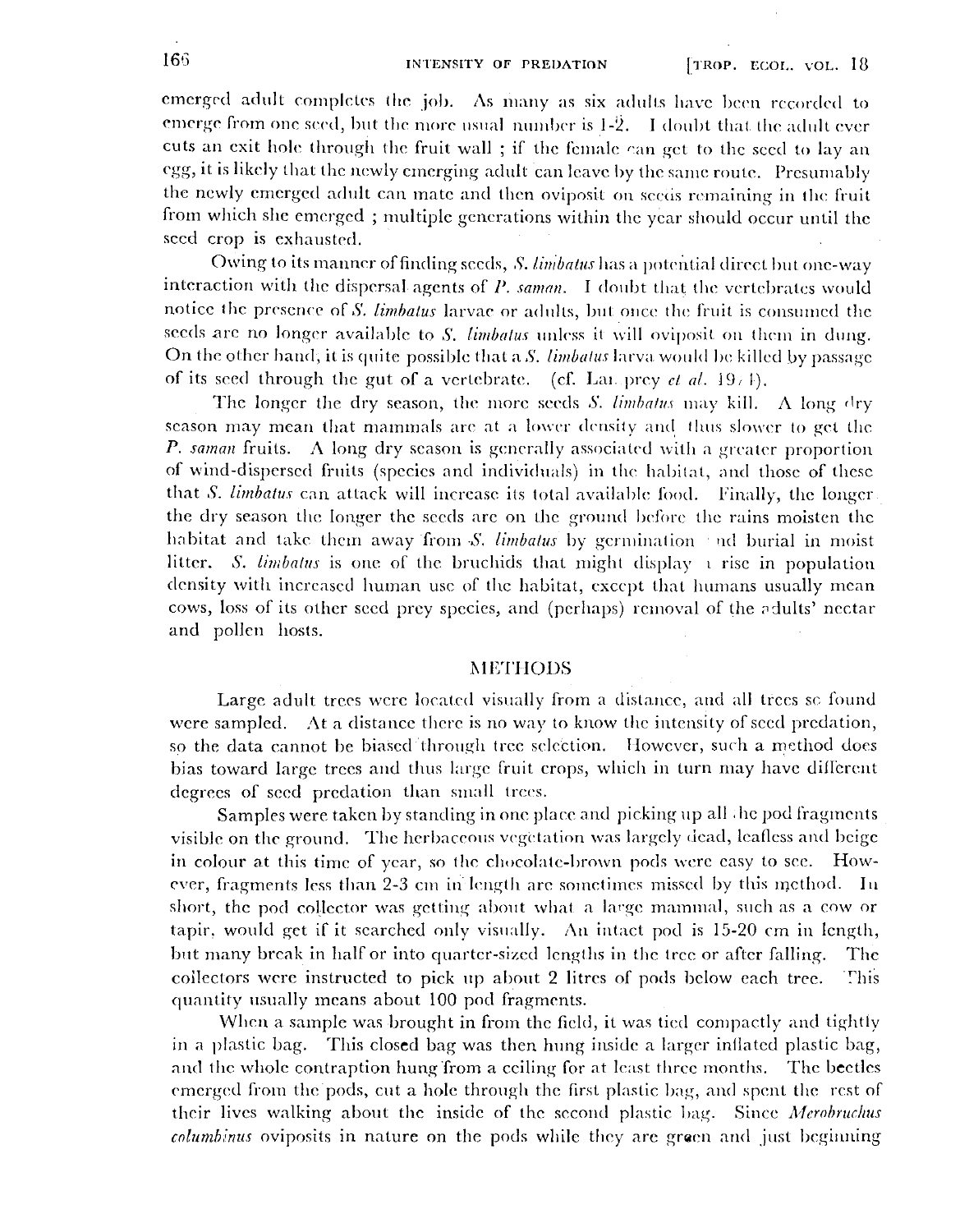166 INTENSITY OF PREDATION [TROP. ECOL. VOL. 18]

emerged adult completes the job. As many as six adults have been recorded to emerge from one seed, but the more usual number is  $1-\hat{2}$ . I doubt that the adult ever cuts an exit hole through the fruit wall; if the female  $\epsilon$ an get to the seed to lay an egg, it is likely that the newly emerging adult can leave by the same route. Presumably the newly emerged adult can mate and then oviposit on secas remaining in the fruit from which she emerged; multiple generations within the year should occur until the seed crop is exhausted.

Owing to its manner of finding seeds, *S. limbatus* has a potential direct but one-way interaction with the dispersal agents of *P. saman*. I doubt that the vertebrates would notice the presence of *S. limbalus* larvae or adults, but once the fruit is consumed the secds are no longer available to *S. limbatus* unless it will oviposit on them in dung. On the other hand, it is quite possible that a S. limbatus larva would be killed by passage of its seed through the gut of a vertebrate. (cf. Lan. prey *et al.* 19/1).

The longer the dry season, the more seeds S.  $limbatus$  may kill. A long dry season may mean that mammals are at a lower density and thus slower to get the *P. saman* fruits. A long dry season is generally associated with a greater proportion of wind-dispersed fruits (species and individuals) in the habitat, and those of these that S. limbatus can attack will increase its total available food. Finally, the longer the dry season the longer the seeds arc on the ground before the rains moisten the habitat and take them away from *S. limbatus* by germination  $\cdot$  nd burial in moist litter. *S. limbatus* is one of the bruchids that might display  $\iota$  rise in population density with increased human use of the habitat, except that humans usually mean cows, loss of its other seed prey species, and (perhaps) removal of the adults' nectar and pollen hosts.

## **METHODS**

Large adult trees were located visually from a distance, and all trees sc found were sampled. At a distance there is no way to know the intensity of seed predation, so the data cannot be biased through tree selection. However, such a method does bias toward large trees and thus large fruit crops, which in turn may have difIcrcnt degrees of seed predation than small trees.

Samples were taken by standing in one place and picking up all. he pod fragments visible on the ground. The herbaceous vegetation was largely dead, leafless and beige in colour at this time of year, so the chocolate-brown pods were easy to see. However, fragments less than 2-3 cm in length are sometimes missed by this method. In short, the pod collector was getting about what a large mammal, such as a cow or tapir, would get if it searched only visually. An intact pod is 15-20 cm in length, but many break in half or into quarter-sized lengths in the tree or after falling. The collectors were instructed to pick up about 2 litres of pods below each tree. This quantity usually means about 100 pod fragments.

When a sample was brought in from the field, it was tied compactly and tightly in a plastic bag. This closed bag was then hung inside a larger inflated plastic bag, and the whole contraption hung from a ceiling for at least three months. The beetles emerged from the pods, cut a hole through the first plastic bag, and spent the rest of their lives walking about the inside of the second plastic bag. Since *Merobruchus columbinus* oviposits in nature on the pods while they are green and just beginning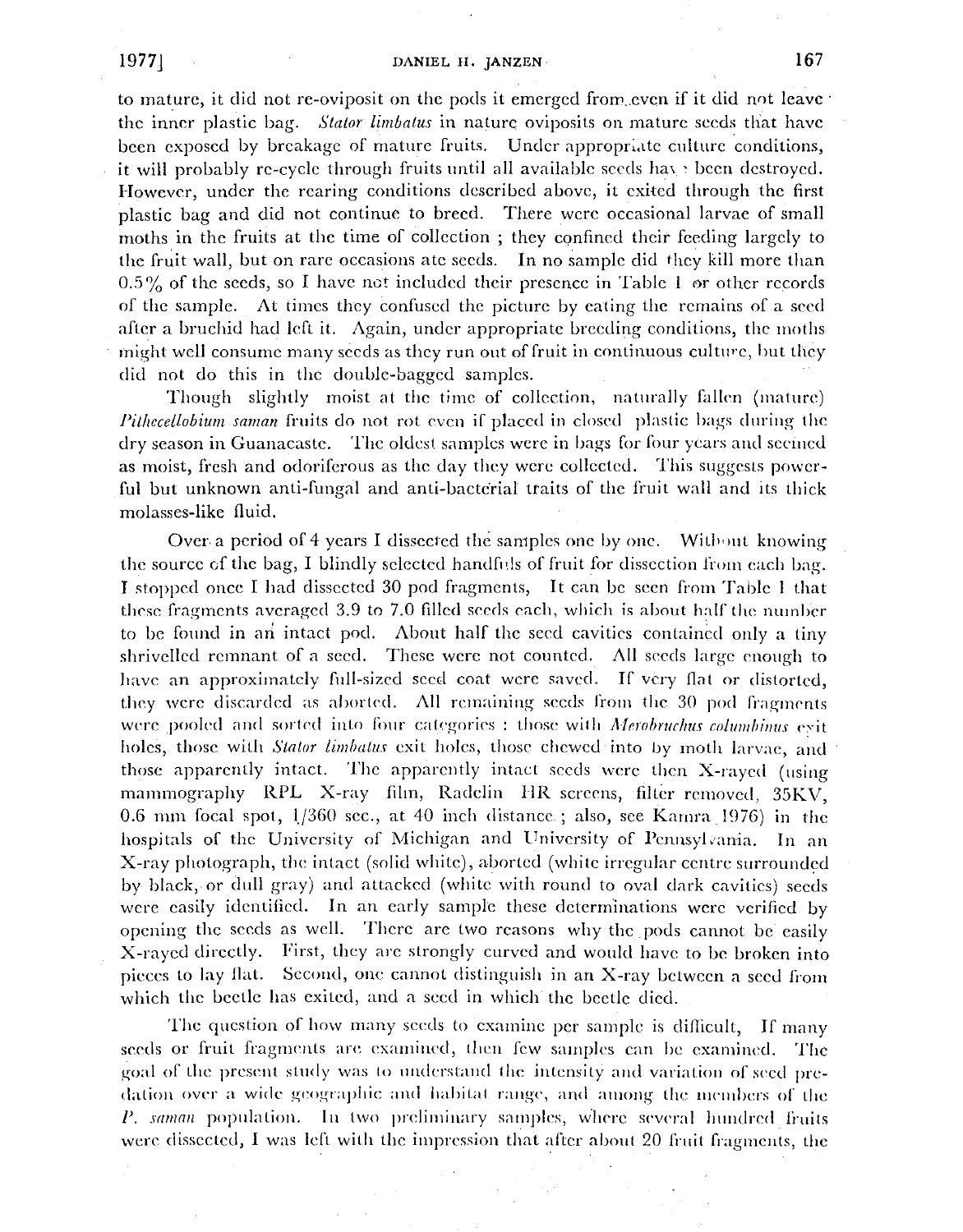to mature, it did not re-oviposit on the pods it emerged from even if it did not leave the inner plastic bag. *Stator limbalus* in nature: oviposits on mature seeds that have been exposed by breakage of mature fruits. Under appropriate culture conditions, it will probably re-cycle through fruits until all available seeds ha\ ~ been destroyed. However, under the rearing conditions described above, it exited through the first plastic bag and did not continue to brecd. There were occasional larvae of small moths in the fruits at the time of collection; they confined their feeding largely to the fruit wall, but on rare occasions ate seeds. In no sample did they kill more than  $0.5\%$  of the seeds, so I have not included their presence in Table 1 or other records of the sample. At times they confused the picture by eating the remains of a seed after a bruchid had left it. Again, under appropriate breeding conditions, the moths might well consume many seeds as they run out of fruit in continuous culture, but they did not do this in the double-bagged samples.

Though slightly moist at the time of collection, naturally fallen (mature) *Pilhecellobium saman* fruits do not rot even if placed in closed plastic bags during the dry season in Guanacaste. The oldest samples were in bags for four years and secined as moist, fresh and odoriferous as the day they were collected. This suggests powerful but unknown anti-fungal and anti-bacterial traits of the fruit wall and its thick molasses-like fluid.

Over a period of 4 years I dissected the samples one by one. Without knowing the source of the bag, I blindly selected handfuls of fruit for dissection from each bag. I stopped once I had dissected 30 pod fragments, It can bc secn from Table I that these fragments averaged 3.9 to 7.0 filled seeds each, which is about half the number to be found in an intact pod. About half the seed cavities contained only a tiny shrivelled remnant of a seed. These were not counted. All seeds large enough to have an approximately full-sized seed coat were saved. If very flat or distorted, they were discarded as aborted. All remaining seeds from the 30 pod fragments were pooled and sorted into four categories : those with *Merobruchus columbinus* exit holes, those with *Stator limliailis* exit holes, those chewed into by moth larvae, and those apparently intact. The apparently intact seeds were then X-rayed (using mammography RPL X-ray film, Radelin HR screens, filter removed, 35KV, 0.6 mm focal spot,  $1/360$  sec., at 40 inch distance.; also, see Karnra 1976) in the hospitals of the University of Michigan and University of Pennsylvania. In an X-ray photograph, the intact (solid white), aborted (white irregular centre surrounded by black, or dull gray) and attacked (white with round to oval dark cavities) seeds were easily identified. In an early sample these determinations were verified by opening the seeds as well. Therc are two rcasons why the pods cannot be easily X-rayed directly. First, they are strongly curved and would have to be broken into pieces to lay lIat. Second, one cannot distinguish in an X-ray between a seed from which the beetle has exited, and a seed in which the beetle died.

The question of how many seeds to examine per sample is difficult, If many seeds or fruit fragments are examined, then few samples can be examined. Thc goal of the present study was to understand the intensity and variation of seed predation over a wide geographic and habitat range, and among the members of the *P.* saman population. In two preliminary samples, where several hundred fruits were dissected, I was left with the impression that after about 20 fruit fragments, the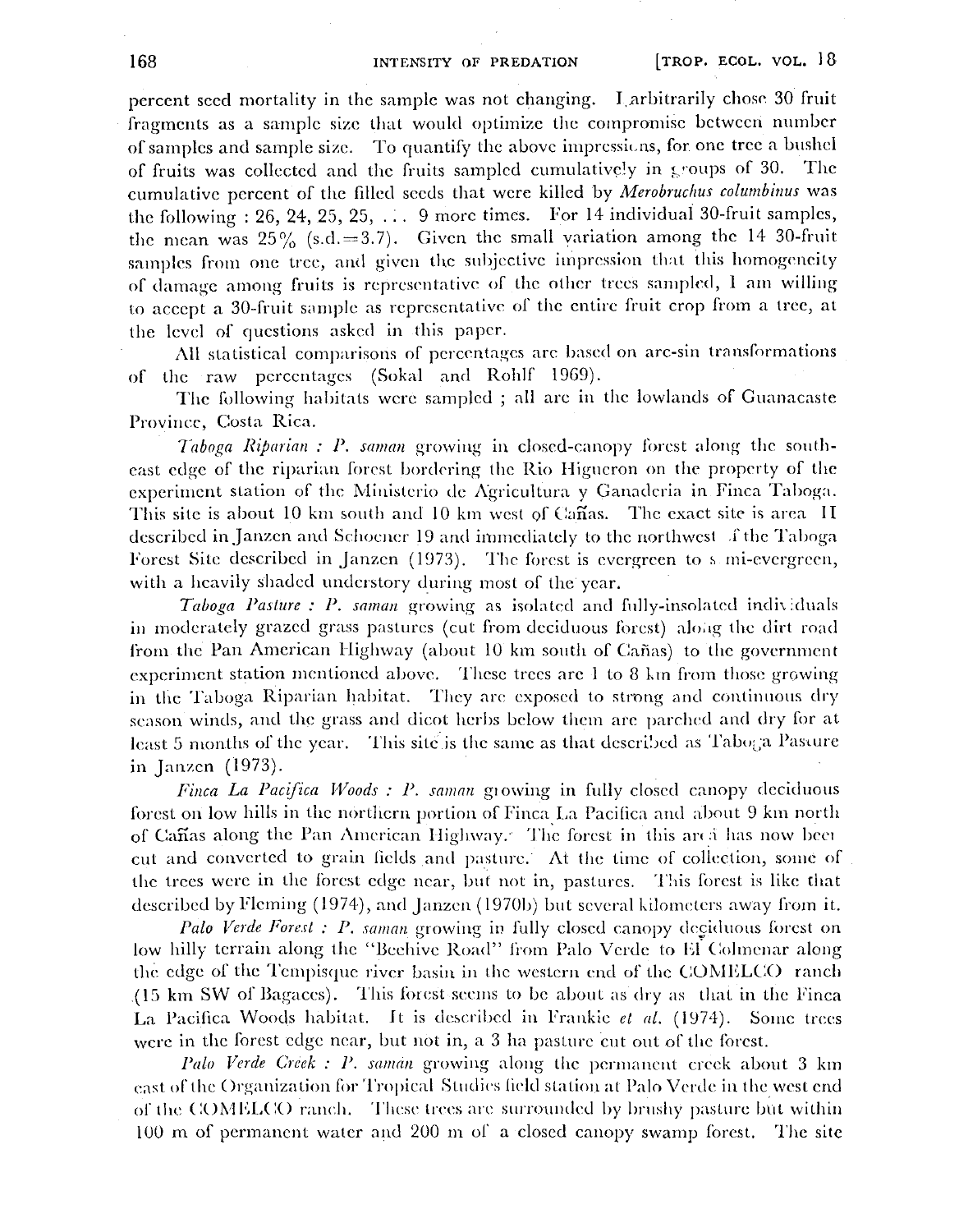percent seed mortality in the sample was not changing. I, arbitrarily chose 30 fruit fragments as a sample size that would optimize the compromise between number of samples and sample size. To quantify the above impressions, for one tree a bushel of fruits was collected and the fruits sampled cumulatively in groups of 30. The cumulative percent of the filled seeds that were killed by *Merobruchus columbinus* was the following: 26, 24, 25, 25, ... 9 more times. For 14 individuai 30-fruit samples, the mean was  $25\%$  (s.d.=3.7). Given the small variation among the 14 30-fruit samples from one tree, and given the subjective impression that this homogeneity of damage among fruits is representative of the other trees sampled, I am willing to accept a 30-fruit sample as representative of the entire fruit crop from a tree, at the level of questions asked in this paper.

All statistical comparisons of percentages are based on arc-sin transformations of the raw percentages (Sokal and Rohlf 1969).

The following habitats were sampled; all are in the lowlands of Guanacaste Province, Costa Rica.

*Taboga Riparian : P. saman* growing in closed-canopy forest along the southeast edge of the riparian forest bordering the Rio Higueron on the property of the experiment station of the Ministerio de Agricultura y Ganaderia in Finea Taboga. This site is about 10 km south and 10 km west of Ca $\widetilde{\text{nas}}$ . The exact site is area II described in Janzen and Schoener 19 and immediately to the northwest of the Taboga Forest Site described in Janzen  $(1973)$ . The forest is evergreen to  $\epsilon$  mi-evergreen, with a heavily shaded understory during most of the year.

*Taboga Pasture: P. smnan* growing as isolated and fully-insolated incli\ :duals in moderately grazed grass pastures (cut from deciduous forest) along the dirt road from the Pan American Highway (about 10 km south of Canas) to the government experiment station mentioned above. These trees are I to 8 hrn from those growing in the Taboga Riparian habitat. They are exposed to strong and continuous dry scason winds, and the grass and dicot herbs below them are parched and dry for at least 5 months of the year. This site is the same as that described as Taboga Pasture in Janzen (1973).

*Finca La Pacifica Woods: P. saman* growing in fully closed canopy deciduous forest on low hills in the northern portion of Finca La Pacifica and about 9 km north of Canas along the Pan American Highway. The forest in this arca has now been cut and converted to grain fields and pasture. At the time of collection, some of the trees were in the forest edge near, but not in, pastures. This forest is like that described by Fleming (1974), and Janzen (1970b) but several kilometers away from it.

Palo Verde Forest: P. saman growing in fully closed canopy deciduous forest on low hilly terrain along the "Beehive Road" from Palo Verde to El Colmenar along the edge of the Tempisque river basin in the western end of the COMELCO ranch (15 km SW of Bagaccs). This forest seems to be about as dry as that in the Finca La Pacifica Woods habitat. It is described in Frankie *et al.* (1974). Some trees were in the forest edge near, but not in, a 3 ha pasture cut out of the forest.

*Palo Verde Creek: P. saman* growing along the permanent creek about 3 km east of the Organization for Tropical Studies field station at Palo Verde in the west end of the COMELCO ranch. These trees are surrounded by brushy pasture but within  $100 \text{ m}$  of permanent water and  $200 \text{ m}$  of a closed canopy swamp forest. The site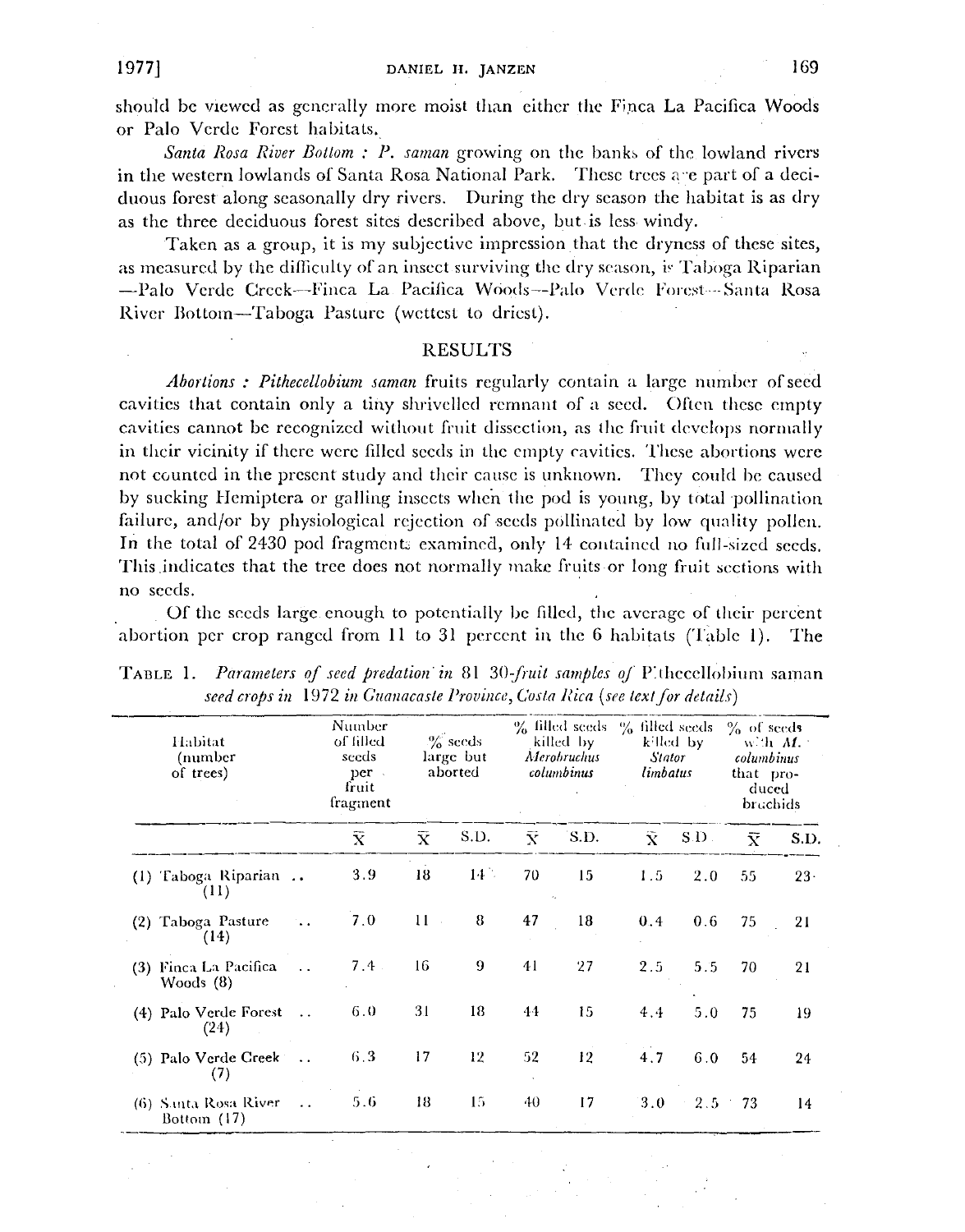should be viewed as generally more moist than either the Finea La Pacifica Woods or Palo Verde Forest habitats.

Santa Rosa River Bottom : P. saman growing on the banks of the lowland rivers in the western lowlands of Santa Rosa National Park. These trees are part of a deciduous forest along seasonally dry rivers. During the dry season the habitat is as dry as the three deciduous forest sites described above, but is less windy.

Taken as a group, it is my subjective impression that the dryness of these sites, as measured by the difficulty of an insect surviving the dry season, is Taboga Riparian --Palo Verde Creek---Finca La Pacifica Woods---Palo Verde Forest---Santa Rosa River Bottom-Taboga Pasture (wettest to driest).

## **RESULTS**

Abortions: Pithecellobium saman fruits regularly contain a large number of seed cavities that contain only a tiny shrivelled remnant of a seed. Often these empty cavities cannot be recognized without fruit dissection, as the fruit develops normally in their vicinity if there were filled seeds in the empty cavities. These abortions were not counted in the present study and their cause is unknown. They could be caused by sucking Hemiptera or galling insects when the pod is young, by total pollination failure, and/or by physiological rejection of seeds pollinated by low quality pollen. In the total of 2430 pod fragments examined, only 14 contained no full-sized seeds. This indicates that the tree does not normally make fruits or long fruit sections with no seeds.

Of the seeds large enough to potentially be filled, the average of their percent abortion per crop ranged from 11 to 31 percent in the 6 habitats (Table 1). The

| Habitat<br>(number<br>of trees)      |                      | Number<br>of filled<br>seeds<br>per<br>fruit<br>fragment |                    | $\%$ seeds<br>large but<br>aborted |                    | $\%$ filled seeds.<br>killed by<br><i>Merobruchus</i><br>columbinus |                    | $\%$ filled seeds<br>killed by<br><b>Stator</b><br>limbatus |                    | $%$ of seeds<br>with $M_{\odot}$<br>columbinus<br>that pro-<br>duced<br>brachids |  |
|--------------------------------------|----------------------|----------------------------------------------------------|--------------------|------------------------------------|--------------------|---------------------------------------------------------------------|--------------------|-------------------------------------------------------------|--------------------|----------------------------------------------------------------------------------|--|
|                                      |                      | $\bar{\mathrm{x}}$                                       | $\bar{\textbf{x}}$ | S.D.                               | $\bar{\mathbf{x}}$ | S.D.                                                                | $\bar{\textbf{x}}$ | S.D.                                                        | $\bar{\textbf{x}}$ | S.D.                                                                             |  |
| (1) Taboga Riparian<br>(11)          |                      | 3.9                                                      | 18                 | $14 -$                             | 70                 | 15                                                                  | 1.5                | 2.0                                                         | 55                 | $23 -$                                                                           |  |
| (2) Taboga Pasture<br>(14)           |                      | 7.0                                                      | $11 -$             | 8                                  | 47                 | 18                                                                  | 0.4                | 0.6                                                         | 75                 | 21                                                                               |  |
| (3) Finea La Pacifica<br>Woods $(8)$ |                      | $7.4 -$                                                  | 16                 | 9                                  | 41                 | 27                                                                  | 2.5                | 5.5                                                         | 70                 | 21                                                                               |  |
| (4) Palo Verde Forest<br>(24)        |                      | 6.0                                                      | 31                 | 18                                 | 44                 | 15                                                                  | 4.4                | 5.0                                                         | 75                 | 19                                                                               |  |
| (5) Palo Verde Creek<br>(7)          | $\ddot{\phantom{a}}$ | 6, 3                                                     | 17                 | 12                                 | 52                 | 12                                                                  | 4.7                | 6.0                                                         | 54                 | 24                                                                               |  |
| (6) Santa Rosa River<br>Bottom (17)  | $\ddot{\phantom{0}}$ | 5.6                                                      | 18                 | 15                                 | 40                 | 17                                                                  | 3.0                |                                                             | $2.5 - 73$         | 14                                                                               |  |

TABLE 1. Parameters of seed predation in 81 30-fruit samples of P. the cellobium saman seed crops in 1972 in Guanacaste Province, Costa Rica (see text for details)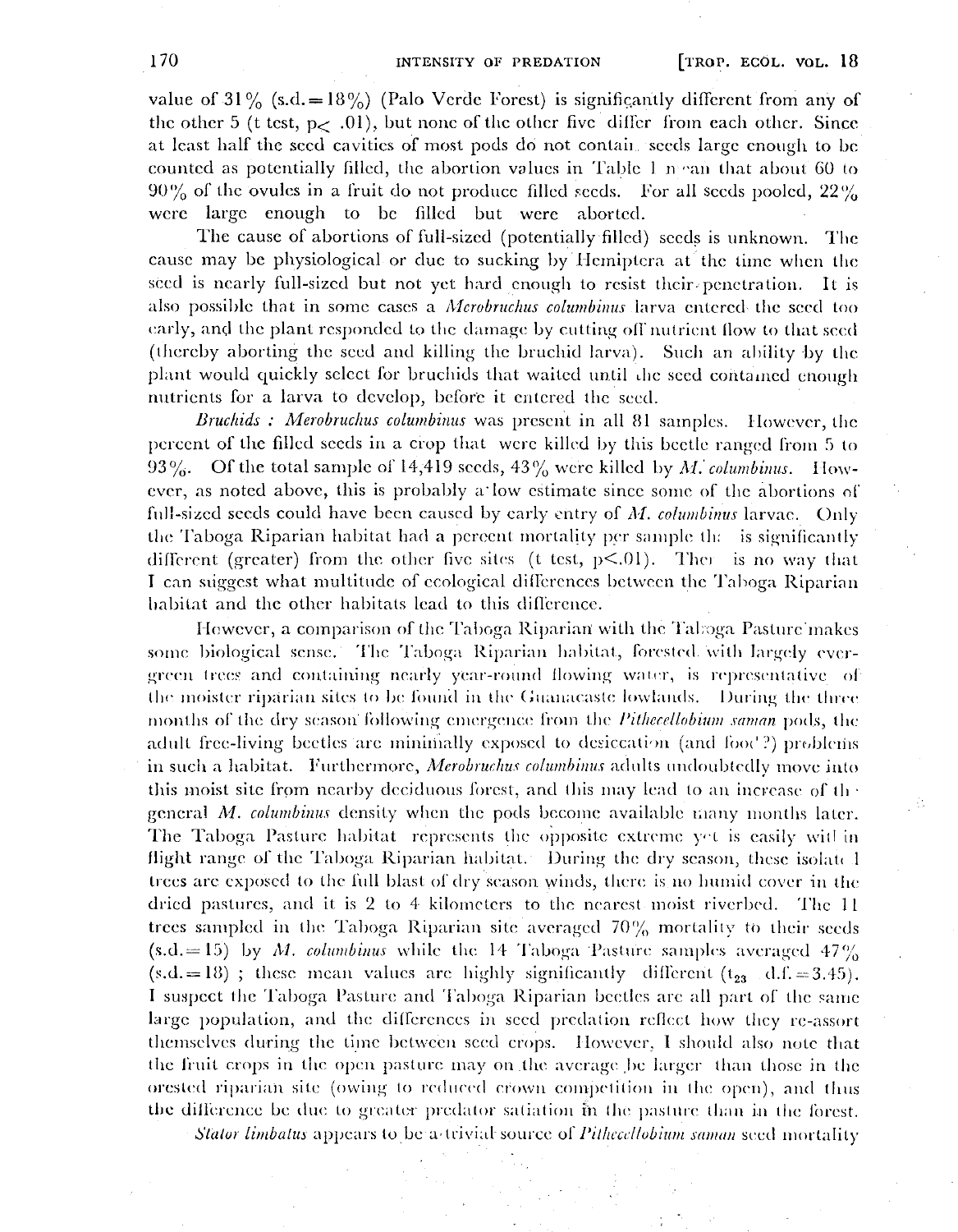value of 31% (s.d. =  $18\%$ ) (Palo Verde Forest) is significantly different from any of the other 5 (t test,  $p_0$ , 01), but none of the other five differ from each other. Since at least half the seed cavities of most pods do not contail seeds large enough to be counted as potentially filled, the abortion values in Table 1 n  $\alpha$  and that about 60 to  $90\%$  of the ovules in a fruit do not produce filled seeds. For all seeds pooled,  $22\%$ were large enough to be filled but were aborted.

The cause of abortions of full-sized (potentially filled) seeds is unknown. The cause may be physiological or due to sucking by Hemiptera at the time when the seed is nearly full-sized but not yet hard enough to resist their. penetration. It is also possible that in some cases a *Merobruchus columbinus* larva entered, the seed too early, and the plant responded to the damage by cutting off nutrient flow to that seed (thereby aborting the seeu and killing the bruchid larva). Such an ahility by the plant would quickly select for bruchids that waited until the seed contained enough nutrients for a larva to develop, before it entered the seed.

*Bruchids : Merobruchus columbinus* was present in all 81 samples. However, the ) percent of the filled seeds in a crop that were killed by this beetle ranged from 5 to 93%. Of the total sample of 14,419 seeds,  $43\%$  were killed by M. *columbinus*. However, as noted above, this is probably a low estimate since some of the abortions of full-sized seeds could have been caused by early entry of *M. columbinus* larvae. Only the Taboga Riparian habitat had a percent mortality per sample the is significantly different (greater) from the other five sites (t test,  $p\leq 01$ ). There is no way that I can suggest what multitude of ecological differences between the Taboga Riparian habitat and the other habitats lead to this difference.

However, a comparison of the Taboga Riparian with the Talga Pasture'makes some biological sense. The Taboga Riparian habitat, forested with largely evergreen trees and containing nearly year-round flowing water, is representative of the moister riparian sites to be found in the Guanacaste lowlands. During the three months of the dry season following emergence from the *Pithecellobium saman* pods, the adult free-living beetles are minimally exposed to desiccation (and  $f(300)$ ) problems in such a habitat. Furthermore, *Merobruchus columbinus* adults undoubtedly move into this moist site from nearby deciduous forest, and this may lead to an increase of th. general *M. columbinus* density when the pods become available many months later. The Taboga Pasture habitat represents the opposite extreme yet is easily witl in flight range of the Taboga Riparian habitat. During the dry season, these isolate  $\mathbf I$ trees are exposed to the full blast of dry season winds, there is no humid cover in the dried pastures, and it is 2 to 4 kilometers to the nearest moist riverbed. The  $11$ trees sampled in the Taboga Riparian site averaged 70% mortality to their seeds  $(s.d.= 15)$  by *M. columbinus* while the 14 Taboga Pasture samples averaged  $47\%$ (s.d.= 18) ; these mean values are highly significantly different ( $t_{23}$  d.f. = 3.45). I suspect the Taboga Pasture and Taboga Riparian beetles are all part of the same large population, and the differences in seed predation reflect how they re-assort themselves during the time betwcen seed crops. Ilowevcr, I should also note that the fruit crops in the open pasture may on the average be larger than those in the orested riparian site (owing to reduced crown competition in the open), and thus the difference be due to greater predator satiation in the pasture than in the forest. *Stator limbatus* appears to be a trivial source of *Pithecellobium saman* seed mortality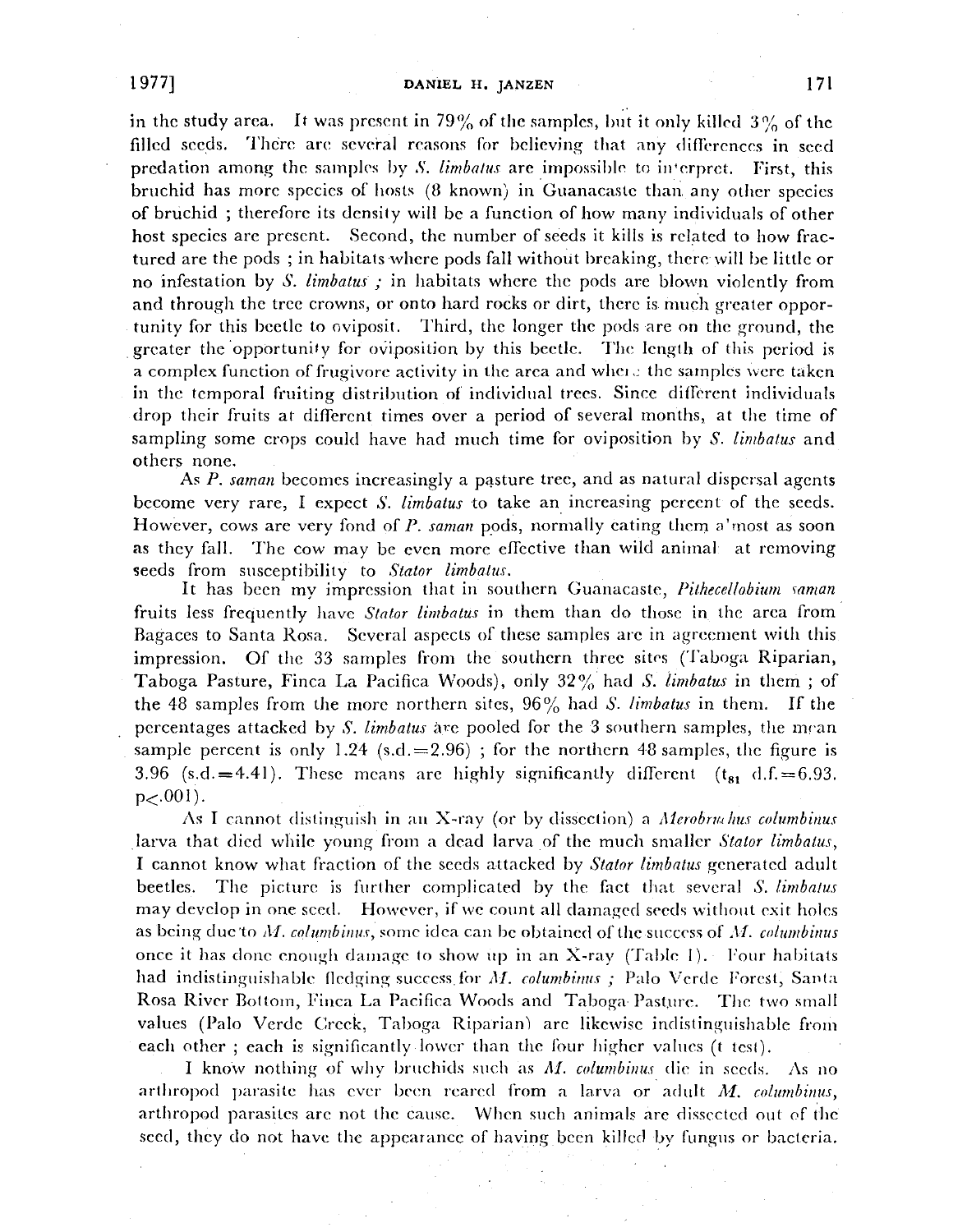in the study area. It was present in 79% of the samples, but it only killed  $3\%$  of the filled seeds. There are several reasons for believing that any differences in seed predation among the samples by *S. limbalus* are impossible to interpret. First, this bruchid has more species of hosts (8 known) in Guanacaste than any other species of bruehid ; then'fore its density will be a function of how many individuals of other host species are present. Second, the number of seeds it kills is related to how fractured are the pods; in habitats where pods fall without breaking, there will be little or no infestation by *S. limbatus*; in habitats where the pods are blown violently from and through the tree crowns, or onto hard rocks or dirt, there is much greater opportunity for this beetle to oviposit. Third, the longer the pods are on the ground, the . greater the 'opportunity for oviposition by this beetle. The length of this period is a complex function of frugivore activity in the area and when  $\epsilon$  the samples were taken in the temporal fruiting distribution of individual trees. Since different individuals drop their fruits at different times over a period of several months, at the time of sampling some crops could have had much time for oviposition by *S. limbatus* and others none.

As P. saman becomes increasingly a pasture tree, and as natural dispersal agents become very rare, I expect S. *limbalus* to take an increasing percent of the seeds. However, cows are very fond of *P. saman* pods, normally eating them a' most as soon as they fall. The cow may be even more effective than wild animal at removing seeds from susceptibility to *Stator limbatus*.

It has been my impression that in southern Guanacaste, *Pithecellobium saman* fruits less frequently have *Stator limbatus* in them than do those in the area from Bagaces to Santa Rosa. Several aspects of these samples are in agreement with this impression. Of the 33 samples from the southern three sites (Taboga Riparian, Taboga Pasture, Finca La Pacifica Woods), orily 32% had S. *limbalus* in them; of the 48 samples from the more northern sites, 96% had S. *limbatus* in them. If the percentages attacked by *S. limbatus* are pooled for the 3 southern samples, the mean sample percent is only 1.24 (s.d.  $=$  2.96); for the northern 48 samples, the figure is 3.96 (s.d.=4.41). These means are highly significantly different  $(t_{\rm s1}$  d.f.=6.93.  $p < 001$ .

As I cannot distinguish in an X-ray (or by dissection) a *Merobruchus columbinus* larva that died while young from a dead larva of the much smaller *Stalor limbalus,*  I cannot know what fraction of the sceds attacked by *Slator limbatlls* generated adult beetles. The picture is further complicated by the fact that several *S. limbalus*  may develop in one seed. However, if we count all damaged seeds without exit holes as being due to  $M.$  columbinus, some idea can be obtained of the success of  $M.$  columbinus once it has done enough damage to show up in an X-ray (Table 1). Four habitats had indistinguishable fledging success for M. *columbinus*; Palo Verde Forest, Santa Rosa River Bottom, Finca La Pacifica Woods and Taboga Pasture. The two small values (Palo Verde Creek, Taboga Riparian) are likewise indistinguishable from each other; each is significantly lower than the four highcr values (t test).

I know nothing of why bruchids such as *M. columbinus* die in seeds. As no arthropod parasite has ever been reared from a larva or adult M, *columbinus*, arthropod parasites are not the cause. When such animals are dissected out of ihe seed, they do not have the appearance of having been killed by fungus or bacteria.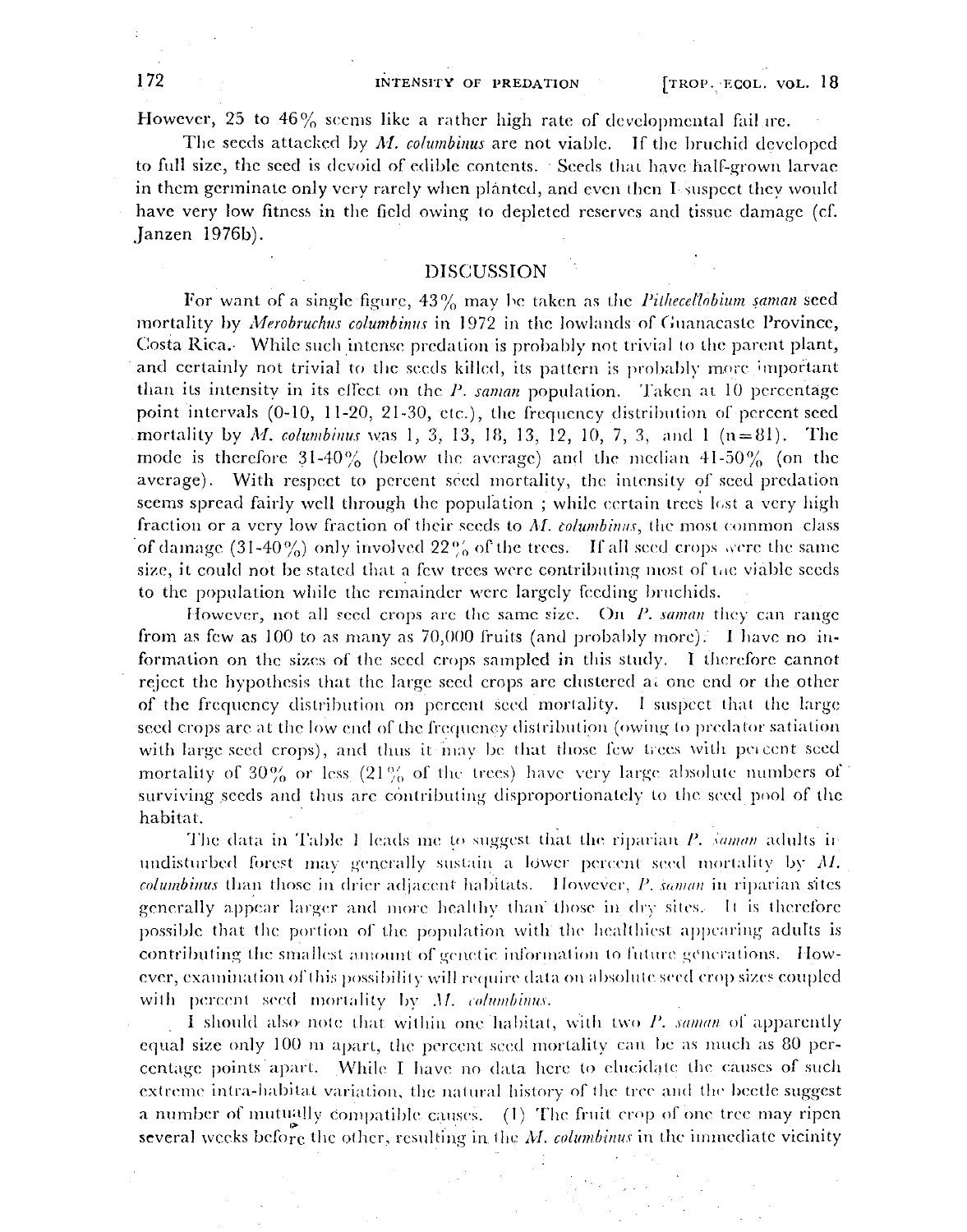However, 25 to 46% seems like a rather high rate of developmental failure.

The seeds attacked by M. columbinus are not viable. If the bruchid developed to full size, the seed is devoid of edible contents. Seeds that have half-grown larvae in them germinate only very rarely when planted, and even then I suspect they would have very low fitness in the field owing to depleted reserves and tissue damage (cf. Janzen  $1976b$ ).

## **DISCUSSION**

For want of a single figure,  $43\%$  may be taken as the *Pithecellobium saman* seed mortality by Merobruchus columbinus in 1972 in the lowlands of Guanacaste Province, Costa Rica. While such intense predation is probably not trivial to the parent plant, and certainly not trivial to the seeds killed, its pattern is probably more important than its intensity in its effect on the P. saman population. Taken at 10 percentage point intervals (0-10, 11-20, 21-30, etc.), the frequency distribution of percent seed mortality by *M. columbinus* was 1, 3, 13, 18, 13, 12, 10, 7, 3, and 1  $(n=81)$ . The mode is therefore  $31-40\%$  (below the average) and the median  $41-50\%$  (on the average). With respect to percent seed mortality, the intensity of seed predation seems spread fairly well through the population; while certain trees lost a very high fraction or a very low fraction of their seeds to M. columbinus, the most common class of damage (31-40%) only involved 22% of the trees. If all seed crops were the same size, it could not be stated that a few trees were contributing most of the viable seeds to the population while the remainder were largely feeding bruchids.

However, not all seed crops are the same size. On P. saman they can range from as few as 100 to as many as  $70,000$  fruits (and probably more). I have no information on the sizes of the seed crops sampled in this study. I therefore cannot reject the hypothesis that the large seed crops are clustered at one end or the other of the frequency distribution on percent seed mortality. I suspect that the large seed crops are at the low end of the frequency distribution (owing to predator satiation with large seed crops), and thus it may be that those few trees with percent seed mortality of 30% or less (21% of the trees) have very large absolute numbers of surviving seeds and thus are contributing disproportionately to the seed pool of the habitat.

The data in Table 1 leads me to suggest that the riparian P. saman adults in undisturbed forest may generally sustain a lower percent seed mortality by M. columbinus than those in drier adjacent habitats. However, P. saman in riparian sites generally appear larger and more healthy than those in dry sites. It is therefore possible that the portion of the population with the healthiest appearing adults is contributing the smallest amount of genetic information to future generations. However, examination of this possibility will require data on absolute seed crop sizes coupled with percent seed mortality by M. columbinus.

I should also note that within one habitat, with two P. saman of apparently equal size only 100 m apart, the percent seed mortality can be as much as 80 percentage points apart. While I have no data here to elucidate the causes of such extreme intra-habitat variation, the natural history of the tree and the beetle suggest a number of mutually compatible causes. (1) The fruit crop of one tree may ripen several weeks before the other, resulting in the  $M$ . columbinus in the immediate vicinity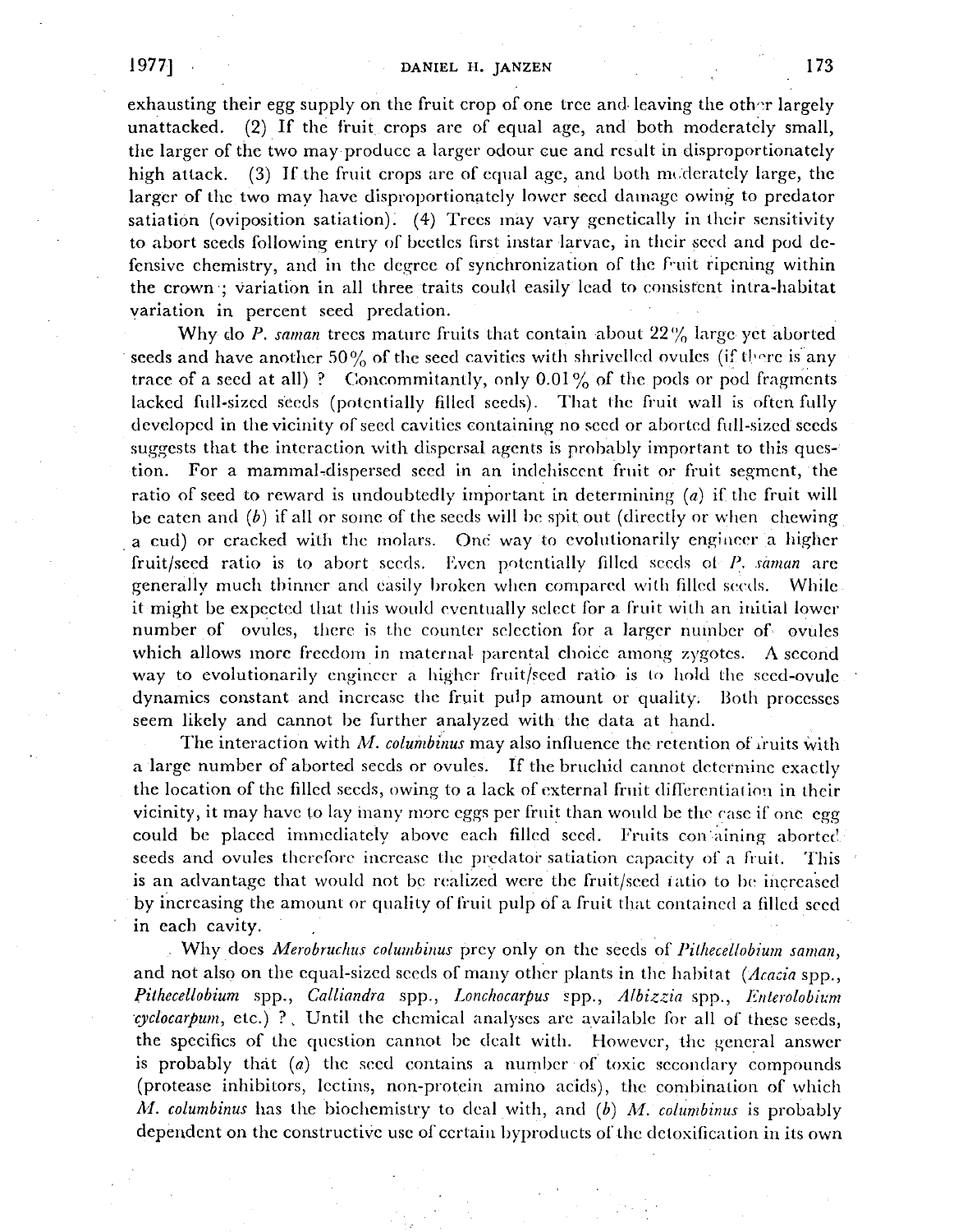exhausting their egg supply on the fruit crop of one tree and leaving the other largely unattacked. (2) If the fruit crops are of equal age, and both moderately small, the larger of the two may produce a larger' odour cue and result in disproportionately high attack. (3) If the fruit crops are of equal age, and both moderately large, the larger of the two may have disproportionately lower seed damage owing. to predator satiation (oviposition satiation): (4) Trees may vary genetically in their sensitivity to abort seeds following entry of beetles first instar larvae, in their seeel and pod defensive chemistry, and in the degree of synchronization of the fruit ripening within the crown; variation in all three traits could easily lead to consistent intra-habitat variation in percent seed predation.

Why do *P. saman* trees mature fruits that contain about  $22\%$  large yet aborted seeds and have another 50% of the seed cavities with shrivelled ovules (if there is any trace of a seed at all)? Concommitantly, only  $0.01\%$  of the pods or pod fragments lacked full-sized seeds (potentially filled seeds), That the fruit wall is often fully developed in the vicinity of seed cavities containing no seed or aborted full-sized seeds suggests that the interaction with dispersal agents is probably important to this question. For a mammal.dispersed seed in an indehiscent fruit or fruit segment, the ratio of seed to reward is undoubtedly important in determining (a) if the fruit will be eaten and  $(b)$  if all or some of the seeds will be spit out (directly or when chewing ,a cud) or cracked with the molars, One way to evolutionarily engineer a higher fruit/seed ratio is to abort seeds. Even potentially filled seeds of P. *saman* are generally much thinner and easily broken when compared with filled seeds, While it might be expected that this would eventually select for a fruit with an initial lower number of ovules, there is the counter selection for a larger number of ovules which allows more freedom in maternal parental choice among zygotes. A second way to evolutionarily engineer a higher fruit/seed ratio is to hold the seed-ovule dynamics constant and increase the fruit pulp amount or quality. Both processes seem likely and cannot be further analyzed with the data at hand.

The interaction with *M. columbinus* may also influence the retention of limits with a large number of aborted seeds or ovules. If the bruchid cannot determine exactly the location of the filled seeds, owing to a lack of external fmit differential ion in their vicinity, it may have to lay many more eggs per fruit than would be the case if one egg could be placed immediately above each filled seed. Fruits conjaining aborted seeds and ovules therefore increase the predator satiation capacity of a fruit. This is an advantage that would not be realized were the fruit/seed ratio to be increased by increasing the amount or quality of fruit pulp of a fruit that contained a filled seed in each cavity.

Why does *Merobruchus columbinus* prey only on the seeds of *Pithecellobium saman*, and not also on the equal-sized seeds of many other plants in the habitat *(Acacia* spp., *Pithecellobium* spp., *Calliandra* spp., *Lonchocarpus* spp., *Albizzia* spp., *Enterolobium 'CYclocarpum,* etc.) ? Until the chemical analyses are available for all of these seeds, the specifics of the question cannot be dealt with, However, the general answer is probably that (a) the seed contains a number of toxic secondary compounds (protease inhibitors, lectins, non-protein amino acids), the combination of which *M. columbinus* has the biochemistry to deal with, and *(b) M. columbinus* is probably dependent on the constructive use of certain byproducts of the detoxification in its own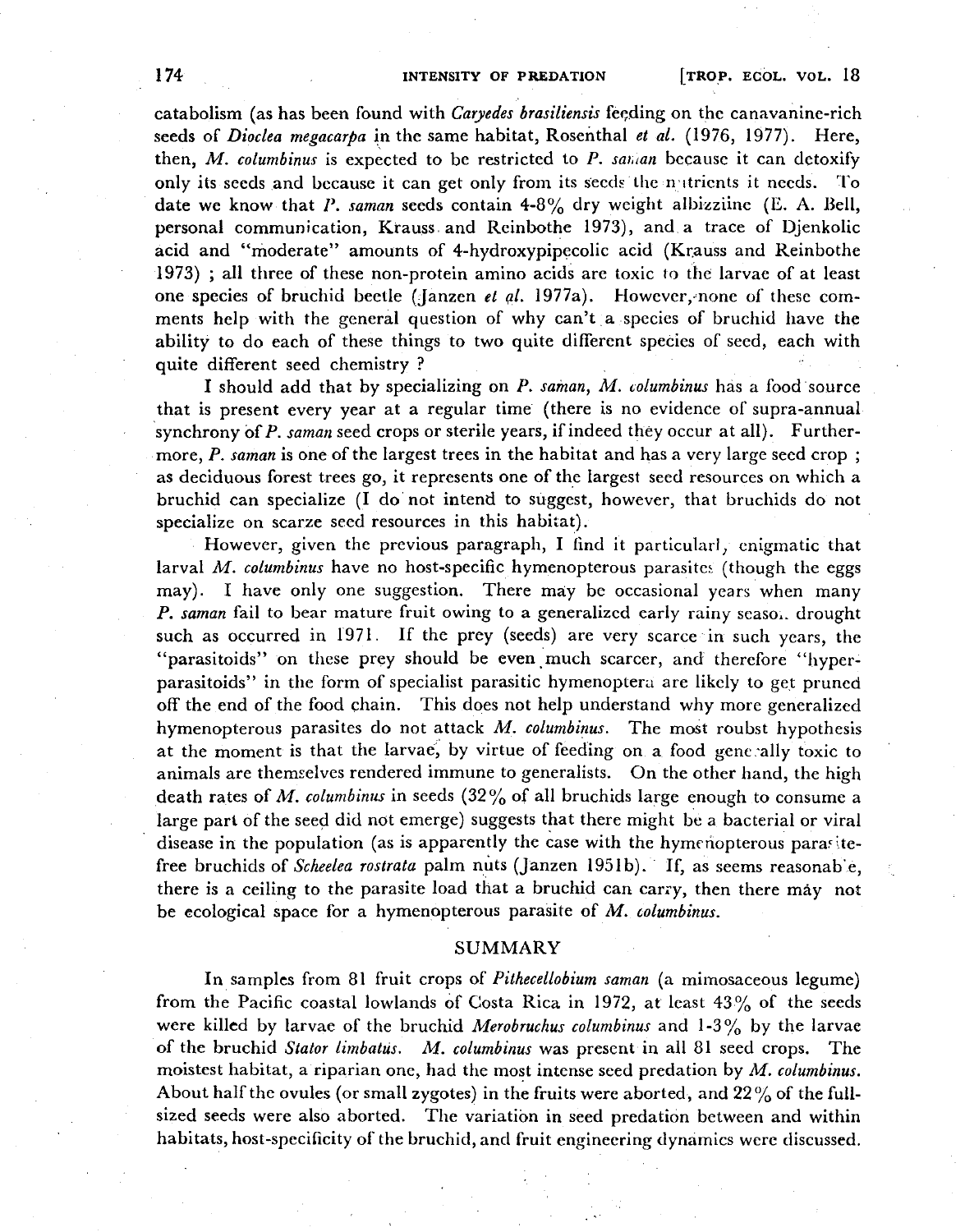catabolism (as has been found with *Caryedes brasiliensis* fep,ding on the canavanine-rich seeds of *Dioclea megacarpa* in the same habitat, Rosenthal *et al.* (1976, 1977). Here, then, *M. columbinus* is expected to be restricted to  $P$ . sand because it can detoxify only its seeds and because it can get only from its seeds the nutrients it needs. To date we know that *P. saman seeds contain*  $4-8\%$  dry weight albizziine (E. A. Bell, personal communication, Krauss and Reinbothe 1973), and a trace of Djenkolic acid and "moderate" amounts of 4-hydroxypipecolic acid (Krauss and Reinbothe 1973) ; all three of these non-protein amino acids arc toxic to the larvae of at least one species of bruchid beetle (Janzen *et al.* 1977a). However, none of these comments help with the general question of why can't a species of bruchid have the ability to do each of these things to two quite different species of seed, each with quite different seed chemistry?

I should add that by specializing on *P. saman, M. wlumbinus* has a food source that is present every year at a regular time (there is no evidence of supra-annual synchrony of *P. saman* seed crops or sterile years, if indeed they occur at all). Furthermore, *P. saman* is one of the largest trees in the habitat and has a very large seed crop; as deciduous forest trees go, it represents one of the largest seed resources on which a bruchid can specialize (I do not intend to suggest, however, that bruchids do not specialize on scarze seed resources in this habitat).

However, given the previous paragraph, I find it particularl, enigmatic that larval *M. columbinus* have no host-specific hymenopterous parasites (though the eggs may). I have only one suggestion. There may be occasional years when many *P. saman* fail to bear mature fruit owing to a generalized early rainy seaso. drought such as occurred in 1971, If the prey (seeds) are very scarce in such years, the "parasitoids" on these prey should be even much scarcer, and therefore "hyperparasitoids" in the form of specialist parasitic hymenoptera are likely to get pruned off the end of the food chain. This does not help understand why more generalized hymenopterous parasites do not attack *M. columbinus.* The most roubst hypothesis at the moment is that the larvae, by virtue of feeding on a food generally toxic to animals are themselves rendered immune to generalists. On the other hand, the high death rates of *M. columbinus* in seeds (32% of all bruchids large enough to consume a large part of the seed did not emerge) suggests that there might be a bacterial or viral disease in the population (as is apparently the case with the hymenopterous para-itefree bruchids of *Scheelea rostrata* palm nuts (Janzen 1951b). If, as seems reasonab'e, there is a ceiling to the parasite load that a bruchid can carry, then there may not be ecological space for a hymenopterous parasite of *M. columbinus.* 

## SUMMARY

In samples from 81 fruit crops of *Pithecellobium saman* (a mimosaceous legume) from the Pacific coastal lowlands of Costa Rica in 1972, at least  $43\%$  of the seeds were killed by larvae of the bruchid *Merobruchus columbinus* and 1-3 % by the larvae of the bruchid *Stator limbatus. M. columbinus* was present in all 81 seed crops. The moistest habitat, a riparian one, had the most intense seed predation by *M. columbinus.*  About half the ovules (or small zygotes) in the fruits were aborted, and  $22\%$  of the fullsized seeds were also aborted. The variation in seed predation between and within habitats, host-specificity of the bruchid, and fruit engineering dynamics were discussed.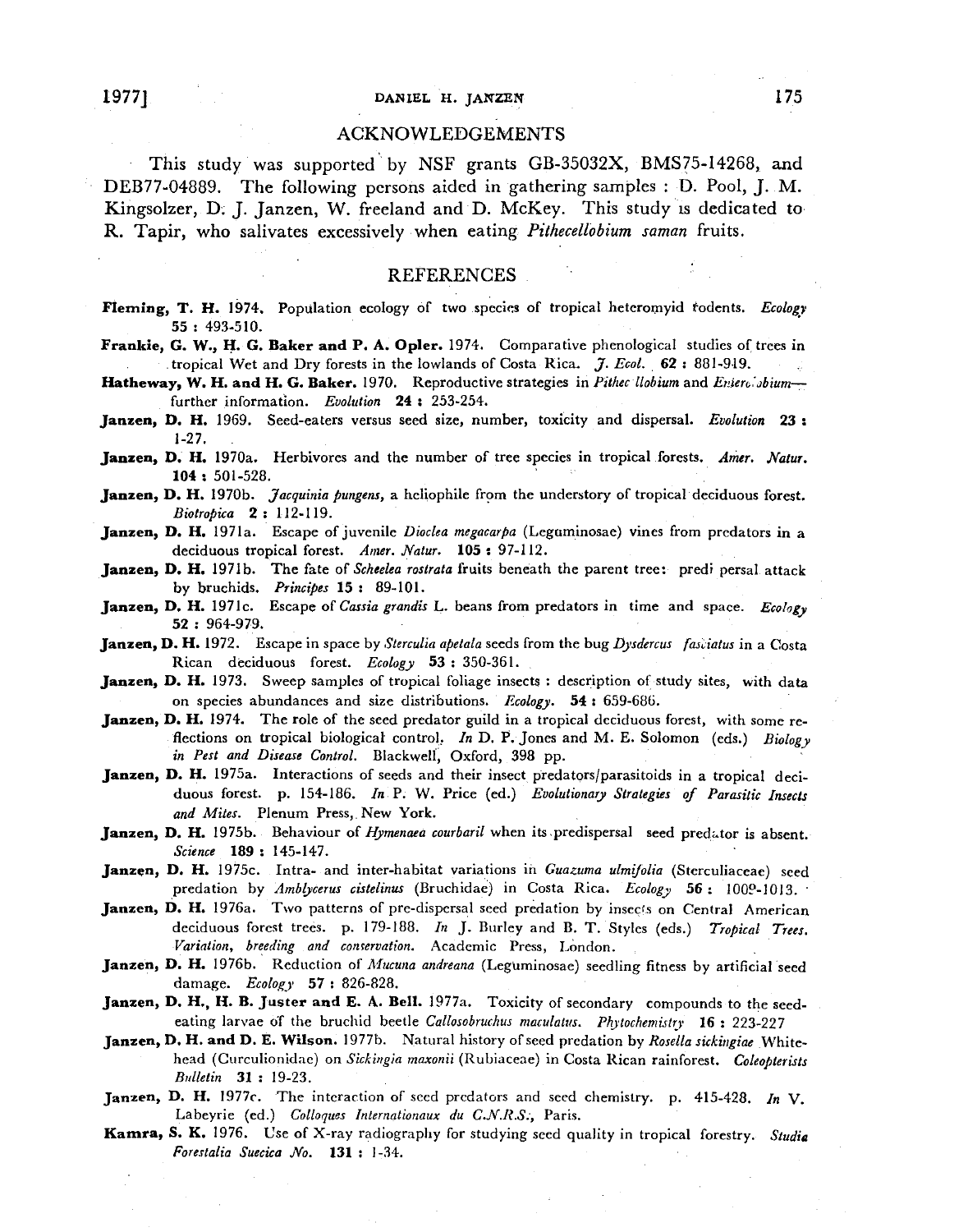## 1977] DANIEL H. JANZEN 175

### ACKNOWLEDGEMENTS

This study was supported' by NSF grants GB-35032X, BMS75-14268, and DEB77-04889. The following persons aided in gathering samples: D. Pool, J. M. Kingsolzer, D. J. Janzen, W. freeland and D. McKey. This study is dedicated to R. Tapir, who salivates excessively when eating *Pithecellobium saman* fruits.

## REFERENCES

- Fleming, T. H. 1974. Population ecology of two species of tropical heteromyid todents. *Ecology* 55 : 493-510.
- Frankie, G. W., H. G. Baker and P. A. Opler. 1974. Comparative phenological studies of trees in . tropical Wet and Dry forests in the lowlands of Costa Rica. J. *Ecol.* 62: 881-9·19.
- Hatheway, W. H. and H. G. Baker. 1970. Reproductive strategies in Pithec llobium and Entere. sbiumfurther information. *Evolution* 24: 253-254.
- Janzen, D. H. 1969. Seed-eaters versus seed size, number, toxicity and dispersal. *Evolution* 23: 1-27.
- Janzen, D. H. 1970a. Herbivores and the number of tree species in tropical forests. Amer. Natur. 104 : 501-528. .
- Janzen, D. H. 1970b. *Jacquinia pungens*, a heliophile from the understory of tropical deciduous forest. *Biotropica* 2: 112-119.
- Janzen, D. H. 1971a. Escape of juvenile *Dioclea megacarpa* (Leguminosae) vines from predators in a deciduous tropical forest. Amer. Natur. **105:** 97-112.
- Janzen, D. H. 1971b. The fate of *Scheelea rostrata* fruits beneath the parent tree: pred; persal attack by bruchids. *Principes* 15: 89-101.
- Janzen, D. H. 1971c. Escape of *Cassia grandis* L. beans from predators in time and space. *Ecology*  52 : 964-979.
- Janzen, D. H. 1972. Escape in space by *Sterculia apetala* seeds from the bug *Dysdercus [askiatus* in a Costa Rican deciduous forest. *Ecology* 53: 350-361.
- Janzen, D. H. 1973. Sweep samples of tropical foliage insects : description of study sites, with data on species abundances and size distributions. *Ecology.* 54: 659-686.
- Janzen, D. H. 1974. The role of the seed predator guild in a tropical deciduous forest, with some reflections on tropical biological control, *In* D. P. Jones and M. E. Solomon (eds.) *Biology in Pest and Disease Control.* BIackweIi, Oxford, 398 pp.
- Janzen, D. H. 1975a. Interactions of seeds and their insect predators/parasitoids in a tropical deciduous forest. p. 154-186. *In* P. W. Price (ed.) *Evolutionary Strategies* of *Parasitic Insects*  and Mites. Plenum Press, New York.
- Janzen, D. H. 1975b. Behaviour of *Hymenaea courbaril* when its predispersal seed predator is absent. *Science* 189: 145-147.
- Janzen, D. H. 1975c. Intra- and inter-habitat variations in *Guazuma ulmijolia* (Sterculiaceae) seed predation by *Amblycerus cistelinus* (Bruchidae) in Costa Rica. *Ecology* 56: 1009-1013.
- Janzen, D. H. 1976a. Two patterns of pre-dispersal seed predation by insects on Central American deciduous forest trees. p. 179-188. *In* J. Burley and B. T. Styles (cds.) *Tropical Trees.*  Variation, breeding and conservation. Academic Press, London.
- Janzen, D. H. 1976b. Reduction of *Mucuna andreana* (Leguminosae) seedling fitness by artificial seed damage. *Ecology* 57: 826-828.
- Janzen, D. H., H. B. Juster and E. A. Bell. 1977a. Toxicity of secondary compounds to the seedeating larvae of the bruchid beetle *Callosobruchus maculatus. Phytochemistry* 16: 223-227
- Janzen, D. H. and D. E. Wilson. 1977b. Natural history of seed predation by *Rosella sickingiae* Whitehead (Curculionidae) on *Sickingia maxollii* (Rubiaceae) in Costa Rican rainforest. *Coleopterists Bulletin* **31:** 19-23.
- Janzen, D. H. 1977c. The interaction of seed predators and seed chemistry. p. 415-428. In V. Labeyrie (ed.) *Colloques Internationaux du C.N.R.S.*, Paris.
- Kamra, S. K. 1976. Use of X-ray radiography for studying seed quality in tropical forestry. *Studia Forestalia Suecica No.* 131: 1-34.